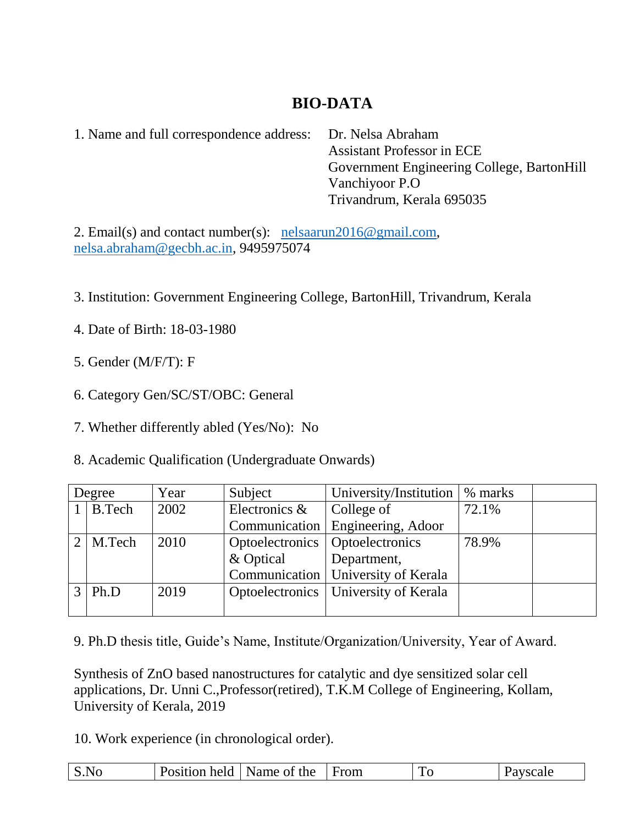# **BIO-DATA**

1. Name and full correspondence address: Dr. Nelsa Abraham

 Assistant Professor in ECE Government Engineering College, BartonHill Vanchiyoor P.O Trivandrum, Kerala 695035

2. Email(s) and contact number(s): [nelsaarun2016@gmail.com,](mailto:nelsaarun2016@gmail.com) [nelsa.abraham@gecbh.ac.in,](mailto:nelsa.abraham@gecbh.ac.in) 9495975074

3. Institution: Government Engineering College, BartonHill, Trivandrum, Kerala

- 4. Date of Birth: 18-03-1980
- 5. Gender (M/F/T): F
- 6. Category Gen/SC/ST/OBC: General
- 7. Whether differently abled (Yes/No): No
- 8. Academic Qualification (Undergraduate Onwards)

| Degree        |                 | Year | Subject                           | University/Institution                 | % marks |  |
|---------------|-----------------|------|-----------------------------------|----------------------------------------|---------|--|
|               | $1$ B. Tech     | 2002 | Electronics &                     | College of                             | 72.1%   |  |
|               |                 |      |                                   | Communication   Engineering, Adoor     |         |  |
|               | $2 \mid M.Tech$ | 2010 | Optoelectronics   Optoelectronics |                                        | 78.9%   |  |
|               |                 |      | & Optical                         | Department,                            |         |  |
|               |                 |      |                                   | Communication   University of Kerala   |         |  |
| $\mathcal{R}$ | Ph.D            | 2019 |                                   | Optoelectronics   University of Kerala |         |  |
|               |                 |      |                                   |                                        |         |  |

9. Ph.D thesis title, Guide's Name, Institute/Organization/University, Year of Award.

Synthesis of ZnO based nanostructures for catalytic and dye sensitized solar cell applications, Dr. Unni C.,Professor(retired), T.K.M College of Engineering, Kollam, University of Kerala, 2019

10. Work experience (in chronological order).

| Name of the<br>Position held<br>  From<br>S.NO<br>'avscale<br>$\tilde{\phantom{a}}$ |  |
|-------------------------------------------------------------------------------------|--|
|-------------------------------------------------------------------------------------|--|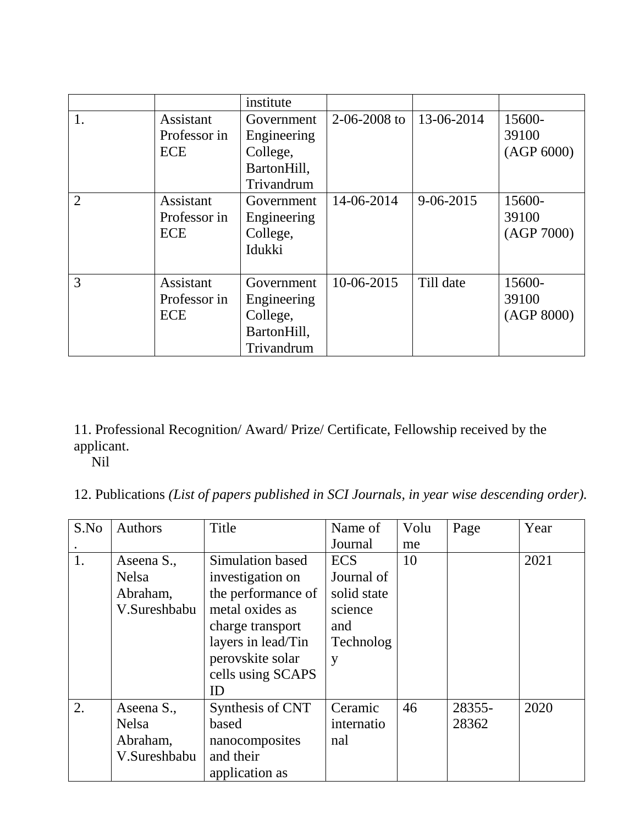|                |              | institute   |                    |                 |            |
|----------------|--------------|-------------|--------------------|-----------------|------------|
| 1.             | Assistant    | Government  | $2 - 06 - 2008$ to | 13-06-2014      | 15600-     |
|                | Professor in | Engineering |                    |                 | 39100      |
|                | <b>ECE</b>   | College,    |                    |                 | (AGP 6000) |
|                |              | BartonHill, |                    |                 |            |
|                |              | Trivandrum  |                    |                 |            |
| $\overline{2}$ | Assistant    | Government  | 14-06-2014         | $9 - 06 - 2015$ | 15600-     |
|                | Professor in | Engineering |                    |                 | 39100      |
|                | <b>ECE</b>   | College,    |                    |                 | (AGP 7000) |
|                |              | Idukki      |                    |                 |            |
|                |              |             |                    |                 |            |
| 3              | Assistant    | Government  | 10-06-2015         | Till date       | 15600-     |
|                | Professor in | Engineering |                    |                 | 39100      |
|                | <b>ECE</b>   | College,    |                    |                 | (AGP 8000) |
|                |              | BartonHill, |                    |                 |            |
|                |              | Trivandrum  |                    |                 |            |

## 11. Professional Recognition/ Award/ Prize/ Certificate, Fellowship received by the applicant.

Nil

# 12. Publications *(List of papers published in SCI Journals, in year wise descending order).*

| S.No | <b>Authors</b> | Title              | Name of     | Volu | Page   | Year |
|------|----------------|--------------------|-------------|------|--------|------|
|      |                |                    | Journal     | me   |        |      |
| 1.   | Aseena S.,     | Simulation based   | <b>ECS</b>  | 10   |        | 2021 |
|      | <b>Nelsa</b>   | investigation on   | Journal of  |      |        |      |
|      | Abraham,       | the performance of | solid state |      |        |      |
|      | V.Sureshbabu   | metal oxides as    | science     |      |        |      |
|      |                | charge transport   | and         |      |        |      |
|      |                | layers in lead/Tin | Technolog   |      |        |      |
|      |                | perovskite solar   | y           |      |        |      |
|      |                | cells using SCAPS  |             |      |        |      |
|      |                | ID                 |             |      |        |      |
| 2.   | Aseena S.,     | Synthesis of CNT   | Ceramic     | 46   | 28355- | 2020 |
|      | <b>Nelsa</b>   | based              | internatio  |      | 28362  |      |
|      | Abraham,       | nanocomposites     | nal         |      |        |      |
|      | V.Sureshbabu   | and their          |             |      |        |      |
|      |                | application as     |             |      |        |      |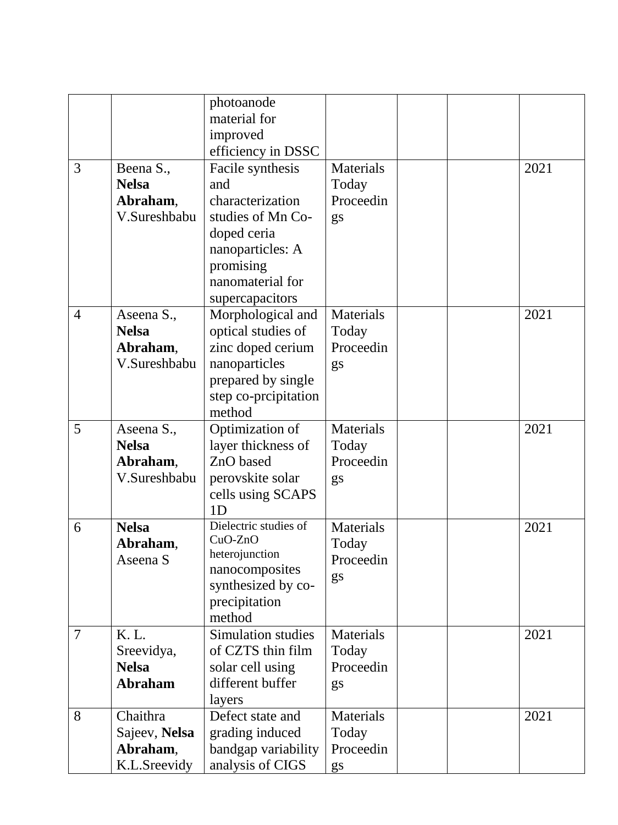|                |                | photoanode                         |                  |  |      |
|----------------|----------------|------------------------------------|------------------|--|------|
|                |                | material for                       |                  |  |      |
|                |                | improved                           |                  |  |      |
|                |                | efficiency in DSSC                 |                  |  |      |
| 3              | Beena S.,      | Facile synthesis                   | Materials        |  | 2021 |
|                | <b>Nelsa</b>   | and                                | Today            |  |      |
|                | Abraham,       | characterization                   | Proceedin        |  |      |
|                | V.Sureshbabu   | studies of Mn Co-                  | gs               |  |      |
|                |                | doped ceria                        |                  |  |      |
|                |                | nanoparticles: A                   |                  |  |      |
|                |                | promising                          |                  |  |      |
|                |                | nanomaterial for                   |                  |  |      |
|                |                | supercapacitors                    |                  |  |      |
| $\overline{4}$ | Aseena S.,     | Morphological and                  | Materials        |  | 2021 |
|                | <b>Nelsa</b>   | optical studies of                 | Today            |  |      |
|                | Abraham,       | zinc doped cerium                  | Proceedin        |  |      |
|                | V.Sureshbabu   | nanoparticles                      | gs               |  |      |
|                |                | prepared by single                 |                  |  |      |
|                |                | step co-prcipitation               |                  |  |      |
|                |                | method                             |                  |  |      |
| 5              | Aseena S.,     | Optimization of                    | Materials        |  | 2021 |
|                | <b>Nelsa</b>   | layer thickness of                 | Today            |  |      |
|                | Abraham,       | ZnO based                          | Proceedin        |  |      |
|                | V.Sureshbabu   | perovskite solar                   | gs               |  |      |
|                |                | cells using SCAPS                  |                  |  |      |
|                |                | 1 <sub>D</sub>                     |                  |  |      |
| 6              | <b>Nelsa</b>   | Dielectric studies of<br>$CuO-ZnO$ | Materials        |  | 2021 |
|                | Abraham,       | heterojunction                     | Today            |  |      |
|                | Aseena S       | nanocomposites                     | Proceedin        |  |      |
|                |                | synthesized by co-                 | gs               |  |      |
|                |                | precipitation                      |                  |  |      |
|                |                | method                             |                  |  |      |
| $\overline{7}$ | K. L.          | Simulation studies                 | Materials        |  | 2021 |
|                | Sreevidya,     | of CZTS thin film                  | Today            |  |      |
|                | <b>Nelsa</b>   | solar cell using                   | Proceedin        |  |      |
|                | <b>Abraham</b> | different buffer                   | gs               |  |      |
|                |                | layers                             |                  |  |      |
| 8              | Chaithra       | Defect state and                   | <b>Materials</b> |  | 2021 |
|                | Sajeev, Nelsa  | grading induced                    | Today            |  |      |
|                | Abraham,       | bandgap variability                | Proceedin        |  |      |
|                | K.L.Sreevidy   | analysis of CIGS                   | gs               |  |      |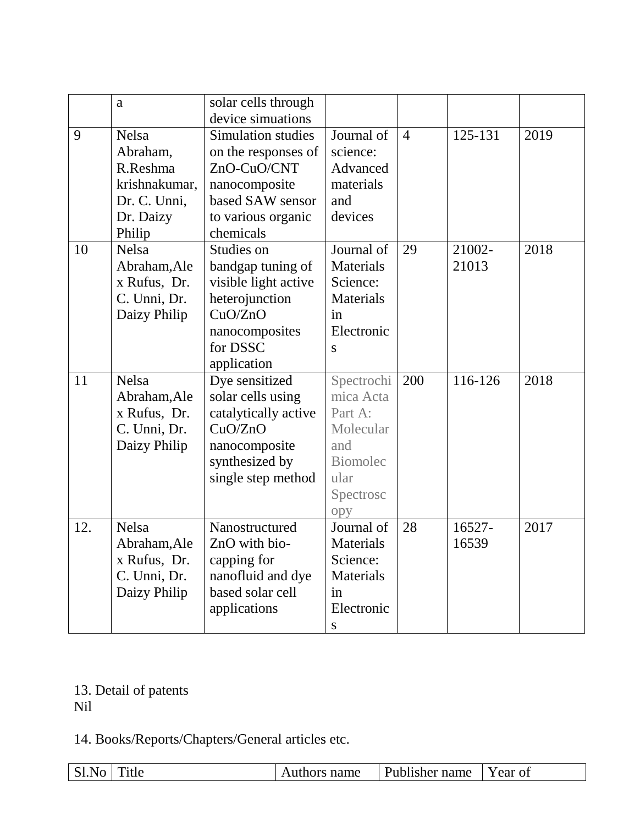|     | a                                                                                            | solar cells through<br>device simuations                                                                                                |                                                                                                       |                |                 |      |
|-----|----------------------------------------------------------------------------------------------|-----------------------------------------------------------------------------------------------------------------------------------------|-------------------------------------------------------------------------------------------------------|----------------|-----------------|------|
| 9   | <b>Nelsa</b><br>Abraham,<br>R.Reshma<br>krishnakumar,<br>Dr. C. Unni,<br>Dr. Daizy<br>Philip | <b>Simulation studies</b><br>on the responses of<br>ZnO-CuO/CNT<br>nanocomposite<br>based SAW sensor<br>to various organic<br>chemicals | Journal of<br>science:<br>Advanced<br>materials<br>and<br>devices                                     | $\overline{4}$ | 125-131         | 2019 |
| 10  | <b>Nelsa</b><br>Abraham, Ale<br>x Rufus, Dr.<br>C. Unni, Dr.<br>Daizy Philip                 | Studies on<br>bandgap tuning of<br>visible light active<br>heterojunction<br>CuO/ZnO<br>nanocomposites<br>for DSSC<br>application       | Journal of<br>Materials<br>Science:<br>Materials<br>in<br>Electronic<br>S                             | 29             | 21002-<br>21013 | 2018 |
| 11  | <b>Nelsa</b><br>Abraham, Ale<br>x Rufus, Dr.<br>C. Unni, Dr.<br>Daizy Philip                 | Dye sensitized<br>solar cells using<br>catalytically active<br>CuO/ZnO<br>nanocomposite<br>synthesized by<br>single step method         | Spectrochi<br>mica Acta<br>Part A:<br>Molecular<br>and<br><b>Biomolec</b><br>ular<br>Spectrosc<br>opy | 200            | 116-126         | 2018 |
| 12. | <b>Nelsa</b><br>Abraham, Ale<br>x Rufus, Dr.<br>C. Unni, Dr.<br>Daizy Philip                 | Nanostructured<br>ZnO with bio-<br>capping for<br>nanofluid and dye<br>based solar cell<br>applications                                 | Journal of<br>Materials<br>Science:<br>Materials<br>in<br>Electronic<br>S                             | 28             | 16527-<br>16539 | 2017 |

#### 13. Detail of patents Nil

14. Books/Reports/Chapters/General articles etc.

| Publisher name<br>ear of<br>suthors name<br>tle<br>____<br>. |
|--------------------------------------------------------------|
|--------------------------------------------------------------|